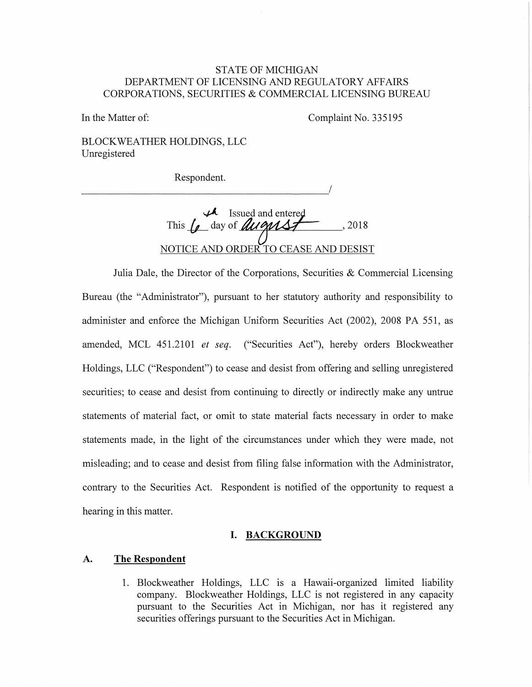### STATE OF MICHIGAN DEPARTMENT OF LICENSING AND REGULATORY AFFAIRS CORPORATIONS, SECURITIES & COMMERCIAL LICENSING BUREAU

In the Matter of: Complaint No. 335195

BLOCKWEATHER HOLDINGS, LLC Umegistered

Respondent. Respondent.

Respondent.<br> **this formulation** and entered This formulation and all entered property 2018 ,2018 NOTICE AND ORDER TO CEASE AND DESIST

Julia Dale, the Director of the Corporations, Securities & Commercial Licensing Bureau (the "Administrator"), pursuant to her statutory authority and responsibility to administer and enforce the Michigan Uniform Securities Act (2002), 2008 PA 551, as amended, MCL 451.2101 *et seq.* ("Securities Act"), hereby orders Blockweather Holdings, LLC ("Respondent") to cease and desist from offering and selling umegistered securities; to cease and desist from continuing to directly or indirectly make any untrue statements of material fact, or omit to state material facts necessary in order to make statements made, in the light of the circumstances under which they were made, not misleading; and to cease and desist from filing false information with the Administrator, contrary to the Securities Act. Respondent is notified of the opportunity to request a hearing in this matter.

#### **I. BACKGROUND**

#### **A. The Respondent**

1. Blockweather Holdings, LLC is a Hawaii-organized limited liability company. Blockweather Holdings, LLC is not registered in any capacity pursuant to the Securities Act in Michigan, nor has it registered any securities offerings pursuant to the Securities Act in Michigan.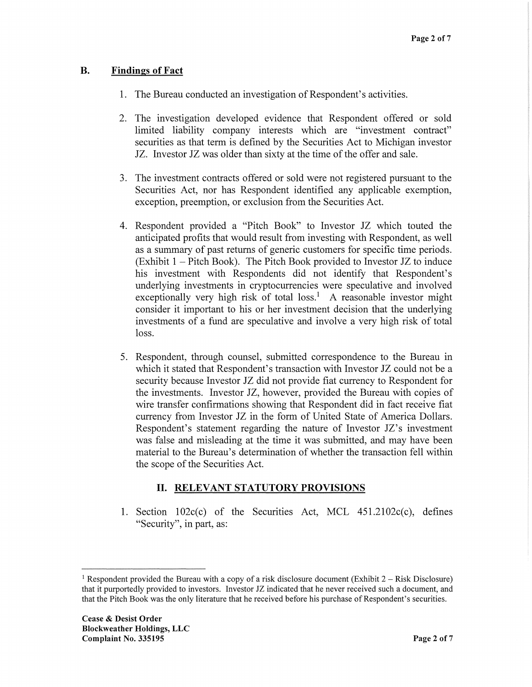## **B. Findings of Fact**

- 1. The Bureau conducted an investigation of Respondent's activities.
- 2. The investigation developed evidence that Respondent offered or sold limited liability company interests which are "investment contract" securities as that term is defined by the Securities Act to Michigan investor JZ. Investor JZ was older than sixty at the time of the offer and sale.
- 3. The investment contracts offered or sold were not registered pursuant to the Securities Act, nor has Respondent identified any applicable exemption, exception, preemption, or exclusion from the Securities Act.
- 4. Respondent provided a "Pitch Book" to Investor JZ which touted the anticipated profits that would result from investing with Respondent, as well as a summary of past returns of generic customers for specific time periods.  $(Exhibit 1 - Pitch Book)$ . The Pitch Book provided to Investor JZ to induce his investment with Respondents did not identify that Respondent's underlying investments in cryptocurrencies were speculative and involved exceptionally very high risk of total  $loss<sup>1</sup>$  A reasonable investor might consider it important to his or her investment decision that the underlying investments of a fund are speculative and involve a very high risk of total loss.
- 5. Respondent, through counsel, submitted correspondence to the Bureau in which it stated that Respondent's transaction with Investor JZ could not be a security because Investor JZ did not provide fiat currency to Respondent for the investments. Investor JZ, however, provided the Bureau with copies of wire transfer confirmations showing that Respondent did in fact receive fiat currency from Investor JZ in the form of United State of America Dollars. Respondent's statement regarding the nature of Investor JZ's investment was false and misleading at the time it was submitted, and may have been material to the Bureau's determination of whether the transaction fell within the scope of the Securities Act.

# II. **RELEVANT STATUTORY PROVISIONS**

1. Section  $102c(c)$  of the Securities Act, MCL  $451.2102c(c)$ , defines "Security", in part, as:

<sup>&</sup>lt;sup>1</sup> Respondent provided the Bureau with a copy of a risk disclosure document (Exhibit  $2 -$  Risk Disclosure) that it purportedly provided to investors. Investor JZ indicated that he never received such a document, and that the Pitch Book was the only literature that he received before his purchase of Respondent's securities.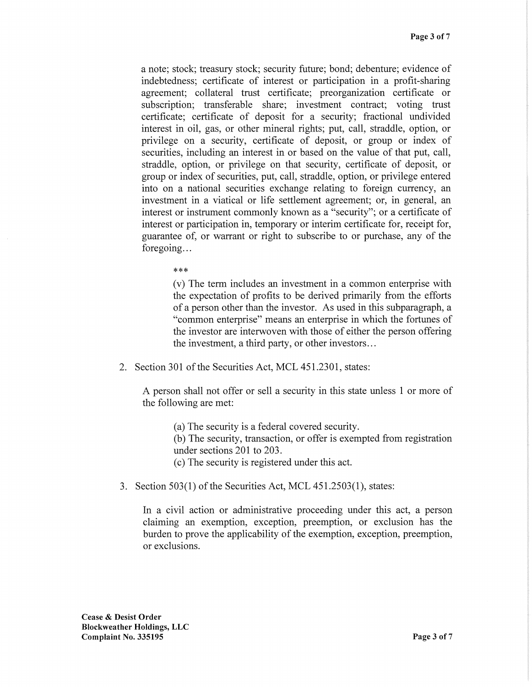a note; stock; treasury stock; security future; bond; debenture; evidence of indebtedness; certificate of interest or participation in a profit-sharing agreement; collateral trust certificate; preorganization certificate or subscription; transferable share; investment contract; voting trust certificate; certificate of deposit for a security; fractional undivided interest in oil, gas, or other mineral rights; put, call, straddle, option, or privilege on a security, certificate of deposit, or group or index of securities, including an interest in or based on the value of that put, call, straddle, option, or privilege on that security, certificate of deposit, or group or index of securities, put, call, straddle, option, or privilege entered into on a national securities exchange relating to foreign currency, an investment in a viatical or life settlement agreement; or, in general, an interest or instrument commonly known as a "security"; or a certificate of interest or participation in, temporary or interim certificate for, receipt for, guarantee of, or warrant or right to subscribe to or purchase, any of the foregoing...

\*\*\*

(v) The term includes an investment in a common enterprise with the expectation of profits to be derived primarily from the efforts of a person other than the investor. As used in this subparagraph, a "common enterprise" means an enterprise in which the fortunes of the investor are interwoven with those of either the person offering the investment, a third party, or other investors ...

2. Section 301 of the Securities Act, MCL 451.2301, states:

A person shall not offer or sell a security in this state unless 1 or more of the following are met:

(a) The security is a federal covered security.

(b) The security, transaction, or offer is exempted from registration under sections 201 to 203.

( c) The security is registered under this act.

3. Section 503(1) of the Securities Act, MCL 451.2503(1), states:

In a civil action or administrative proceeding under this act, a person claiming an exemption, exception, preemption, or exclusion has the burden to prove the applicability of the exemption, exception, preemption, or exclusions.

**Cease** & **Desist Order Blockweather Holdings, LLC Complaint No. 335195 Page 3 of 7**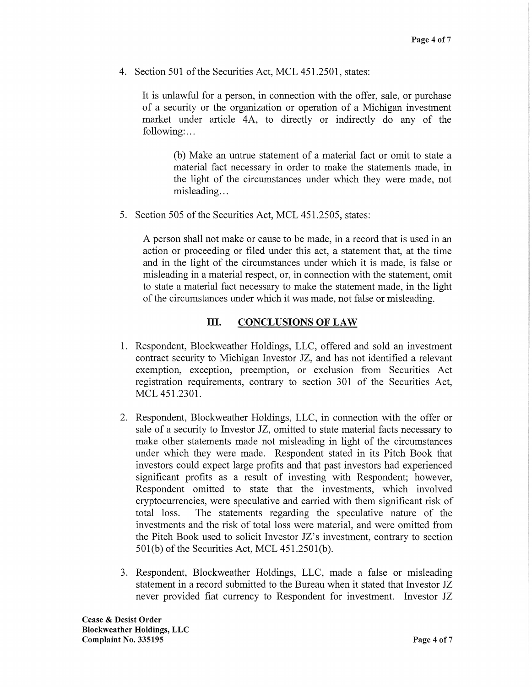4. Section 501 of the Securities Act, MCL 451.2501, states:

It is unlawful for a person, in connection with the offer, sale, or purchase of a security or the organization or operation of a Michigan investment market under article 4A, to directly or indirectly do any of the following:...

(b) Make an untrue statement of a material fact or omit to state a material fact necessary in order to make the statements made, in the light of the circumstances under which they were made, not misleading...

5. Section 505 of the Securities Act, MCL 451.2505, states:

A person shall not make or cause to be made, in a record that is used in an action or proceeding or filed under this act, a statement that, at the time and in the light of the circumstances under which it is made, is false or misleading in a material respect, or, in connection with the statement, omit to state a material fact necessary to make the statement made, in the light of the circumstances under which it was made, not false or misleading.

## III. **CONCLUSIONS OF LAW**

- 1. Respondent, Blockweather Holdings, LLC, offered and sold an investment contract security to Michigan Investor JZ, and has not identified a relevant exemption, exception, preemption, or exclusion from Securities Act registration requirements, contrary to section 301 of the Securities Act, MCL 451.2301.
- 2. Respondent, Blockweather Holdings, LLC, in connection with the offer or sale of a security to Investor JZ, omitted to state material facts necessary to make other statements made not misleading in light of the circumstances under which they were made. Respondent stated in its Pitch Book that investors could expect large profits and that past investors had experienced significant profits as a result of investing with Respondent; however, Respondent omitted to state that the investments, which involved cryptocurrencies, were speculative and carried with them significant risk of total loss. The statements regarding the speculative nature of the investments and the risk of total loss were material, and were omitted from the Pitch Book used to solicit Investor JZ's investment, contrary to section 501(b) of the Securities Act, MCL 451.2501(b).
- 3. Respondent, Blockweather Holdings, LLC, made a false or misleading statement in a record submitted to the Bureau when it stated that Investor JZ never provided fiat currency to Respondent for investment. Investor JZ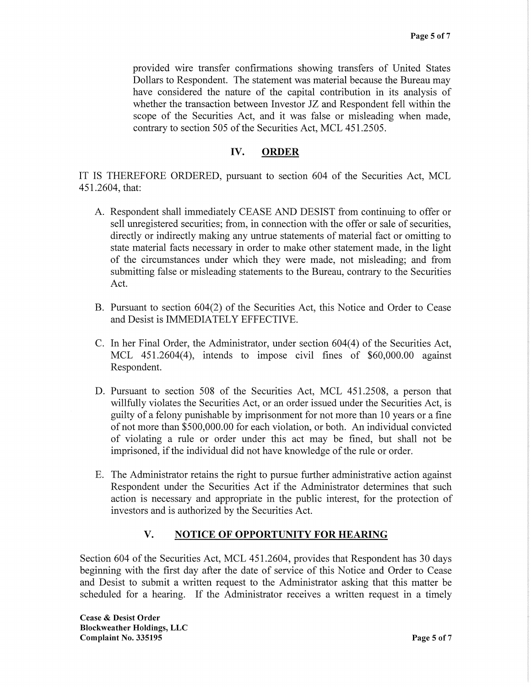provided wire transfer confirmations showing transfers of United States Dollars to Respondent. The statement was material because the Bureau may have considered the nature of the capital contribution in its analysis of whether the transaction between Investor JZ and Respondent fell within the scope of the Securities Act, and it was false or misleading when made, contrary to section 505 of the Securities Act, MCL 451.2505.

## IV. **ORDER**

IT IS THEREFORE ORDERED, pursuant to section 604 of the Securities Act, MCL 451.2604, that:

- A. Respondent shall immediately CEASE AND DESIST from continuing to offer or sell unregistered securities; from, in connection with the offer or sale of securities, directly or indirectly making any untrue statements of material fact or omitting to state material facts necessary in order to make other statement made, in the light of the circumstances under which they were made, not misleading; and from submitting false or misleading statements to the Bureau, contrary to the Securities Act.
- B. Pursuant to section 604(2) of the Securities Act, this Notice and Order to Cease and Desist is IMMEDIATELY EFFECTIVE.
- C. In her Final Order, the Administrator, under section 604(4) of the Securities Act, MCL 451.2604(4), intends to impose civil fines of \$60,000.00 against Respondent.
- D. Pursuant to section 508 of the Securities Act, MCL 451.2508, a person that willfully violates the Securities Act, or an order issued under the Securities Act, is guilty of a felony punishable by imprisonment for not more than 10 years or a fine of not more than \$500,000.00 for each violation, or both. An individual convicted of violating a rule or order under this act may be fined, but shall not be imprisoned, if the individual did not have knowledge of the rule or order.
- E. The Administrator retains the right to pursue further administrative action against Respondent under the Securities Act if the Administrator determines that such action is necessary and appropriate in the public interest, for the protection of investors and is authorized by the Securities Act.

## **V. NOTICE OF OPPORTUNITY FOR HEARING**

Section 604 of the Securities Act, MCL 451.2604, provides that Respondent has 30 days beginning with the first day after the date of service of this Notice and Order to Cease and Desist to submit a written request to the Administrator asking that this matter be scheduled for a hearing. If the Administrator receives a written request in a timely

**Cease** & **Desist Order Blockweather Holdings, LLC Complaint No. 335195 Page 5 of 7**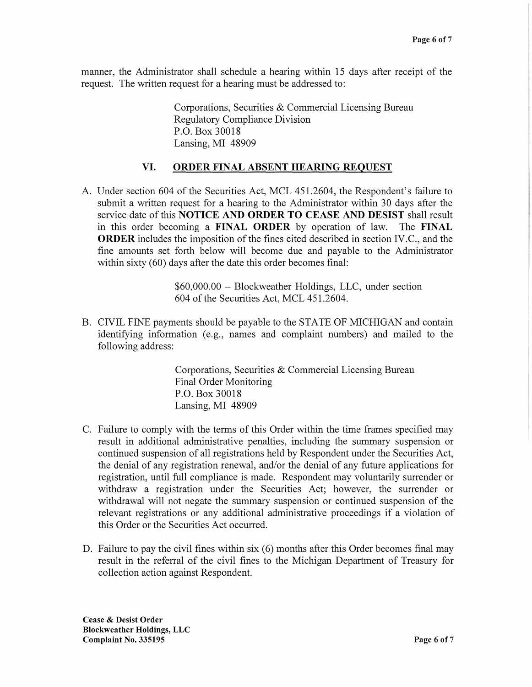manner, the Administrator shall schedule a hearing within 15 days after receipt of the request. The written request for a hearing must be addressed to:

> Corporations, Securities & Commercial Licensing Bureau Regulatory Compliance Division P.O. Box 30018 Lansing, MI 48909

### **VI. ORDER FINAL ABSENT HEARING REQUEST**

A. Under section 604 of the Securities Act, MCL 451.2604, the Respondent's failure to submit a written request for a hearing to the Administrator within 30 days after the service date of this **NOTICE AND ORDER TO CEASE AND DESIST** shall result in this order becoming a **FINAL ORDER** by operation of law. The **FINAL ORDER** includes the imposition of the fines cited described in section IV.C., and the fine amounts set forth below will become due and payable to the Administrator within sixty (60) days after the date this order becomes final:

> \$60,000.00 - Blockweather Holdings, LLC, under section 604 of the Securities Act, MCL 451.2604.

B. CIVIL FINE payments should be payable to the STATE OF MICHIGAN and contain identifying information (e.g., names and complaint numbers) and mailed to the following address:

> Corporations, Securities & Commercial Licensing Bureau Final Order Monitoring P.O. Box 30018 Lansing, MI 48909

- C. Failure to comply with the terms of this Order within the time frames specified may result in additional administrative penalties, including the summary suspension or continued suspension of all registrations held by Respondent under the Securities Act, the denial of any registration renewal, and/or the denial of any future applications for registration, until full compliance is made. Respondent may voluntarily surrender or withdraw a registration under the Securities Act; however, the surrender or withdrawal will not negate the summary suspension or continued suspension of the relevant registrations or any additional administrative proceedings if a violation of this Order or the Securities Act occurred.
- D. Failure to pay the civil fines within six (6) months after this Order becomes final may result in the referral of the civil fines to the Michigan Department of Treasury for collection action against Respondent.